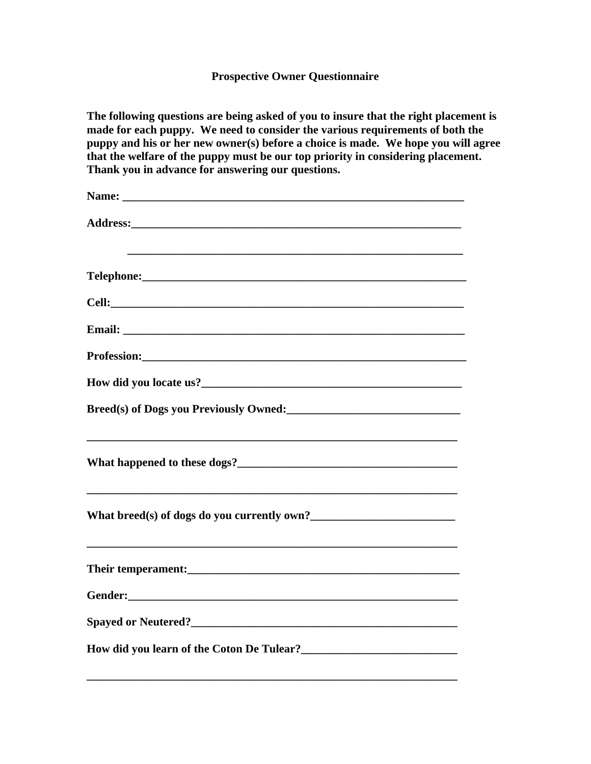## **Prospective Owner Questionnaire**

**The following questions are being asked of you to insure that the right placement is**  made for each puppy. We need to consider the various requirements of both the **puppy and his or her new owner(s) before a choice is made. We hope you will agree that the welfare of the puppy must be our top priority in considering placement. Thank you in advance for answering our questions.** 

| Breed(s) of Dogs you Previously Owned:<br><u>Letting and the substitute of Dogs you Previously Owned:</u>                                                                                                                      |
|--------------------------------------------------------------------------------------------------------------------------------------------------------------------------------------------------------------------------------|
|                                                                                                                                                                                                                                |
|                                                                                                                                                                                                                                |
|                                                                                                                                                                                                                                |
| Gender: North Communication of the Communication of the Communication of the Communication of the Communication of the Communication of the Communication of the Communication of the Communication of the Communication of th |
| Spayed or Neutered?                                                                                                                                                                                                            |
| How did you learn of the Coton De Tulear?<br><u>Learnesse School be and the Coton De Tulear?</u>                                                                                                                               |

**\_\_\_\_\_\_\_\_\_\_\_\_\_\_\_\_\_\_\_\_\_\_\_\_\_\_\_\_\_\_\_\_\_\_\_\_\_\_\_\_\_\_\_\_\_\_\_\_\_\_\_\_\_\_\_\_\_\_\_\_\_\_\_\_**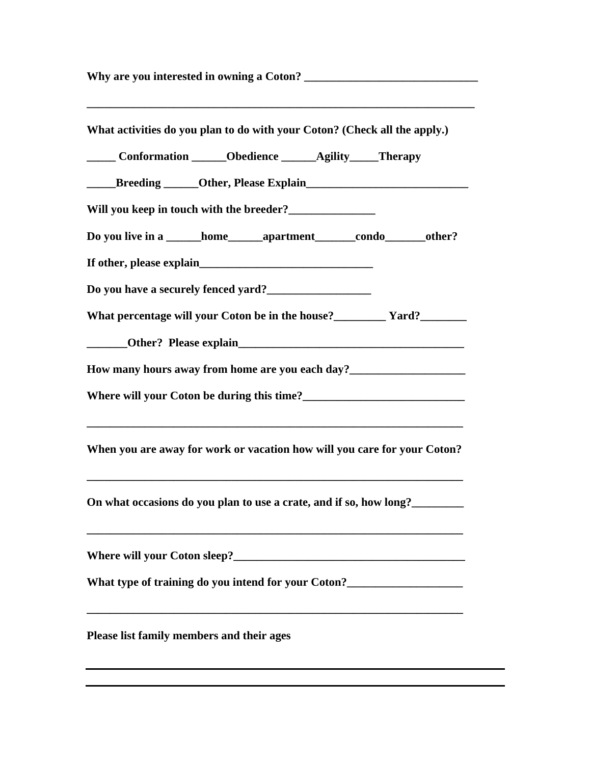Why are you interested in owning a Coton? **\_\_\_\_\_\_\_\_\_\_\_\_\_\_\_\_\_\_\_\_\_\_\_\_\_\_\_\_\_\_\_\_\_\_\_\_\_\_\_\_\_\_\_\_\_\_\_\_\_\_\_\_\_\_\_\_\_\_\_\_\_\_\_\_\_\_\_ What activities do you plan to do with your Coton? (Check all the apply.) \_\_\_\_\_ Conformation \_\_\_\_\_\_Obedience \_\_\_\_\_\_Agility\_\_\_\_\_Therapy \_\_\_\_\_Breeding \_\_\_\_\_\_Other, Please Explain\_\_\_\_\_\_\_\_\_\_\_\_\_\_\_\_\_\_\_\_\_\_\_\_\_\_\_\_ Will you keep in touch with the breeder?\_\_\_\_\_\_\_\_\_\_\_\_\_\_\_ Do you live in a \_\_\_\_\_\_home\_\_\_\_\_\_apartment\_\_\_\_\_\_\_condo\_\_\_\_\_\_\_other?**  If other, please explain **Do you have a securely fenced yard?\_\_\_\_\_\_\_\_\_\_\_\_\_\_\_\_\_\_ What percentage will your Coton be in the house?\_\_\_\_\_\_\_\_\_ Yard?\_\_\_\_\_\_\_\_ Other?** Please explain **How many hours away from home are you each day?\_\_\_\_\_\_\_\_\_\_\_\_\_\_\_\_\_\_\_\_ Where will your Coton be during this time?\_\_\_\_\_\_\_\_\_\_\_\_\_\_\_\_\_\_\_\_\_\_\_\_\_\_\_\_ \_\_\_\_\_\_\_\_\_\_\_\_\_\_\_\_\_\_\_\_\_\_\_\_\_\_\_\_\_\_\_\_\_\_\_\_\_\_\_\_\_\_\_\_\_\_\_\_\_\_\_\_\_\_\_\_\_\_\_\_\_\_\_\_\_ When you are away for work or vacation how will you care for your Coton? \_\_\_\_\_\_\_\_\_\_\_\_\_\_\_\_\_\_\_\_\_\_\_\_\_\_\_\_\_\_\_\_\_\_\_\_\_\_\_\_\_\_\_\_\_\_\_\_\_\_\_\_\_\_\_\_\_\_\_\_\_\_\_\_\_ On what occasions do you plan to use a crate, and if so, how long?\_\_\_\_\_\_\_\_\_ \_\_\_\_\_\_\_\_\_\_\_\_\_\_\_\_\_\_\_\_\_\_\_\_\_\_\_\_\_\_\_\_\_\_\_\_\_\_\_\_\_\_\_\_\_\_\_\_\_\_\_\_\_\_\_\_\_\_\_\_\_\_\_\_\_ Where will your Coton sleep?\_\_\_\_\_\_\_\_\_\_\_\_\_\_\_\_\_\_\_\_\_\_\_\_\_\_\_\_\_\_\_\_\_\_\_\_\_\_\_\_**  What type of training do you intend for your Coton?<br><u>\_\_\_\_\_\_\_\_\_\_\_\_\_\_\_\_\_\_\_\_\_\_\_\_\_\_\_\_</u> **\_\_\_\_\_\_\_\_\_\_\_\_\_\_\_\_\_\_\_\_\_\_\_\_\_\_\_\_\_\_\_\_\_\_\_\_\_\_\_\_\_\_\_\_\_\_\_\_\_\_\_\_\_\_\_\_\_\_\_\_\_\_\_\_\_ Please list family members and their ages**